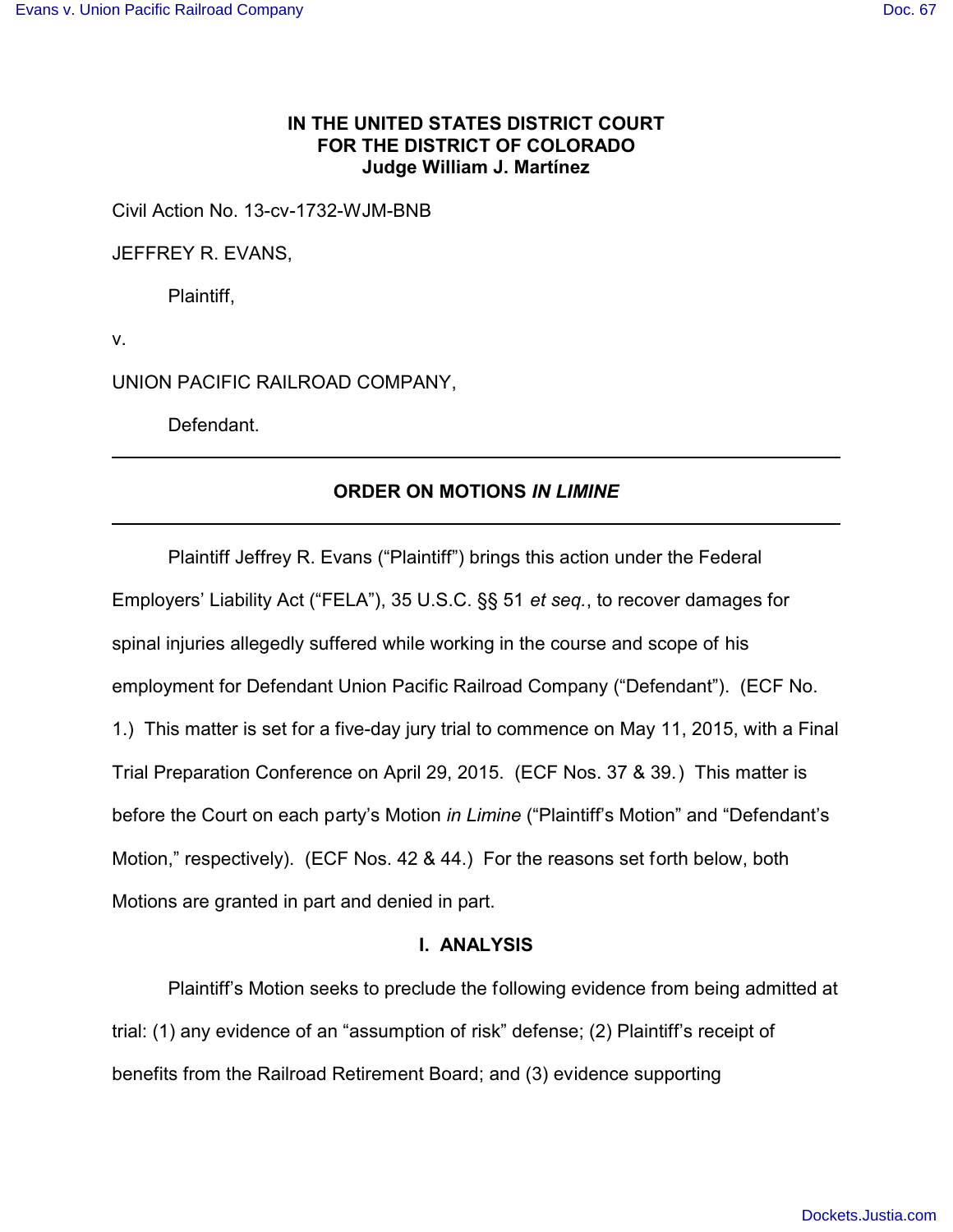# **IN THE UNITED STATES DISTRICT COURT FOR THE DISTRICT OF COLORADO Judge William J. Martínez**

Civil Action No. 13-cv-1732-WJM-BNB

JEFFREY R. EVANS,

Plaintiff,

v.

UNION PACIFIC RAILROAD COMPANY,

Defendant.

# **ORDER ON MOTIONS** *IN LIMINE*

Plaintiff Jeffrey R. Evans ("Plaintiff") brings this action under the Federal Employers' Liability Act ("FELA"), 35 U.S.C. §§ 51 *et seq.*, to recover damages for spinal injuries allegedly suffered while working in the course and scope of his employment for Defendant Union Pacific Railroad Company ("Defendant"). (ECF No. 1.) This matter is set for a five-day jury trial to commence on May 11, 2015, with a Final Trial Preparation Conference on April 29, 2015. (ECF Nos. 37 & 39.) This matter is before the Court on each party's Motion *in Limine* ("Plaintiff's Motion" and "Defendant's Motion," respectively). (ECF Nos. 42 & 44.) For the reasons set forth below, both Motions are granted in part and denied in part.

### **I. ANALYSIS**

Plaintiff's Motion seeks to preclude the following evidence from being admitted at trial: (1) any evidence of an "assumption of risk" defense; (2) Plaintiff's receipt of benefits from the Railroad Retirement Board; and (3) evidence supporting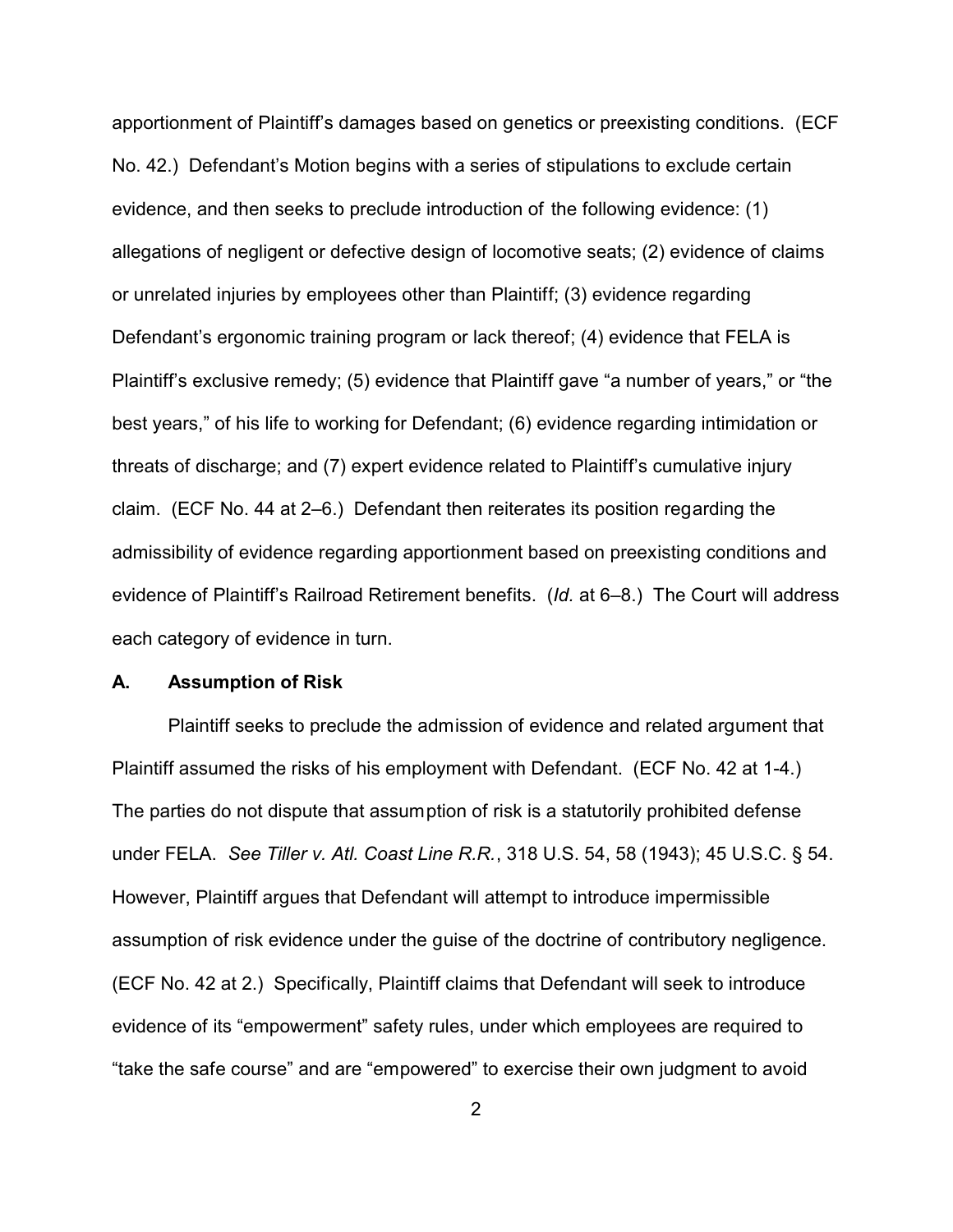apportionment of Plaintiff's damages based on genetics or preexisting conditions. (ECF No. 42.) Defendant's Motion begins with a series of stipulations to exclude certain evidence, and then seeks to preclude introduction of the following evidence: (1) allegations of negligent or defective design of locomotive seats; (2) evidence of claims or unrelated injuries by employees other than Plaintiff; (3) evidence regarding Defendant's ergonomic training program or lack thereof; (4) evidence that FELA is Plaintiff's exclusive remedy; (5) evidence that Plaintiff gave "a number of years," or "the best years," of his life to working for Defendant; (6) evidence regarding intimidation or threats of discharge; and (7) expert evidence related to Plaintiff's cumulative injury claim. (ECF No. 44 at 2–6.) Defendant then reiterates its position regarding the admissibility of evidence regarding apportionment based on preexisting conditions and evidence of Plaintiff's Railroad Retirement benefits. (*Id.* at 6–8.) The Court will address each category of evidence in turn.

#### **A. Assumption of Risk**

Plaintiff seeks to preclude the admission of evidence and related argument that Plaintiff assumed the risks of his employment with Defendant. (ECF No. 42 at 1-4.) The parties do not dispute that assumption of risk is a statutorily prohibited defense under FELA. *See Tiller v. Atl. Coast Line R.R.*, 318 U.S. 54, 58 (1943); 45 U.S.C. § 54. However, Plaintiff argues that Defendant will attempt to introduce impermissible assumption of risk evidence under the guise of the doctrine of contributory negligence. (ECF No. 42 at 2.) Specifically, Plaintiff claims that Defendant will seek to introduce evidence of its "empowerment" safety rules, under which employees are required to "take the safe course" and are "empowered" to exercise their own judgment to avoid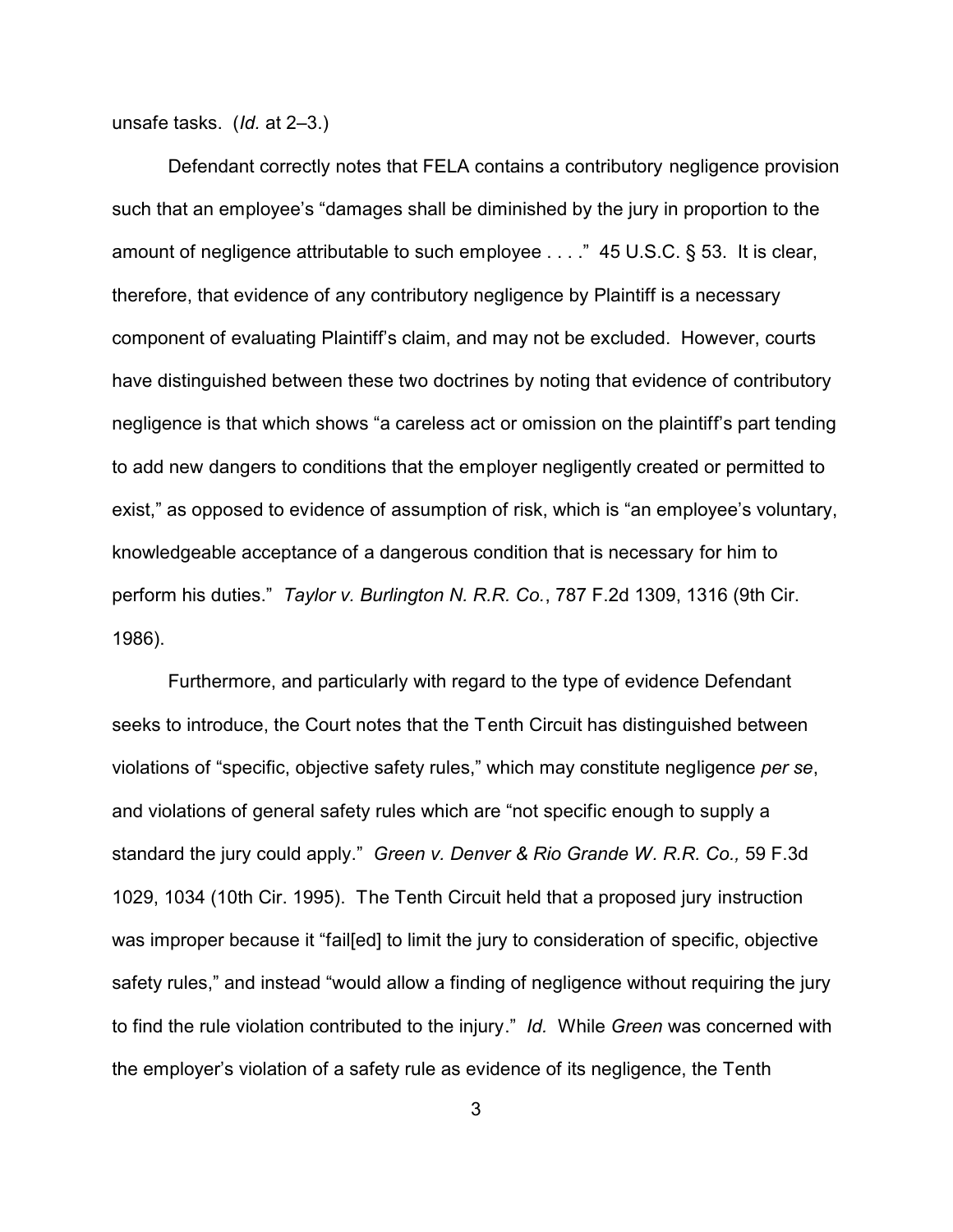unsafe tasks. (*Id.* at 2–3.)

Defendant correctly notes that FELA contains a contributory negligence provision such that an employee's "damages shall be diminished by the jury in proportion to the amount of negligence attributable to such employee . . . ." 45 U.S.C. § 53. It is clear, therefore, that evidence of any contributory negligence by Plaintiff is a necessary component of evaluating Plaintiff's claim, and may not be excluded. However, courts have distinguished between these two doctrines by noting that evidence of contributory negligence is that which shows "a careless act or omission on the plaintiff's part tending to add new dangers to conditions that the employer negligently created or permitted to exist," as opposed to evidence of assumption of risk, which is "an employee's voluntary, knowledgeable acceptance of a dangerous condition that is necessary for him to perform his duties." *Taylor v. Burlington N. R.R. Co.*, 787 F.2d 1309, 1316 (9th Cir. 1986).

Furthermore, and particularly with regard to the type of evidence Defendant seeks to introduce, the Court notes that the Tenth Circuit has distinguished between violations of "specific, objective safety rules," which may constitute negligence *per se*, and violations of general safety rules which are "not specific enough to supply a standard the jury could apply." *Green v. Denver & Rio Grande W. R.R. Co.,* 59 F.3d 1029, 1034 (10th Cir. 1995). The Tenth Circuit held that a proposed jury instruction was improper because it "fail[ed] to limit the jury to consideration of specific, objective safety rules," and instead "would allow a finding of negligence without requiring the jury to find the rule violation contributed to the injury." *Id.* While *Green* was concerned with the employer's violation of a safety rule as evidence of its negligence, the Tenth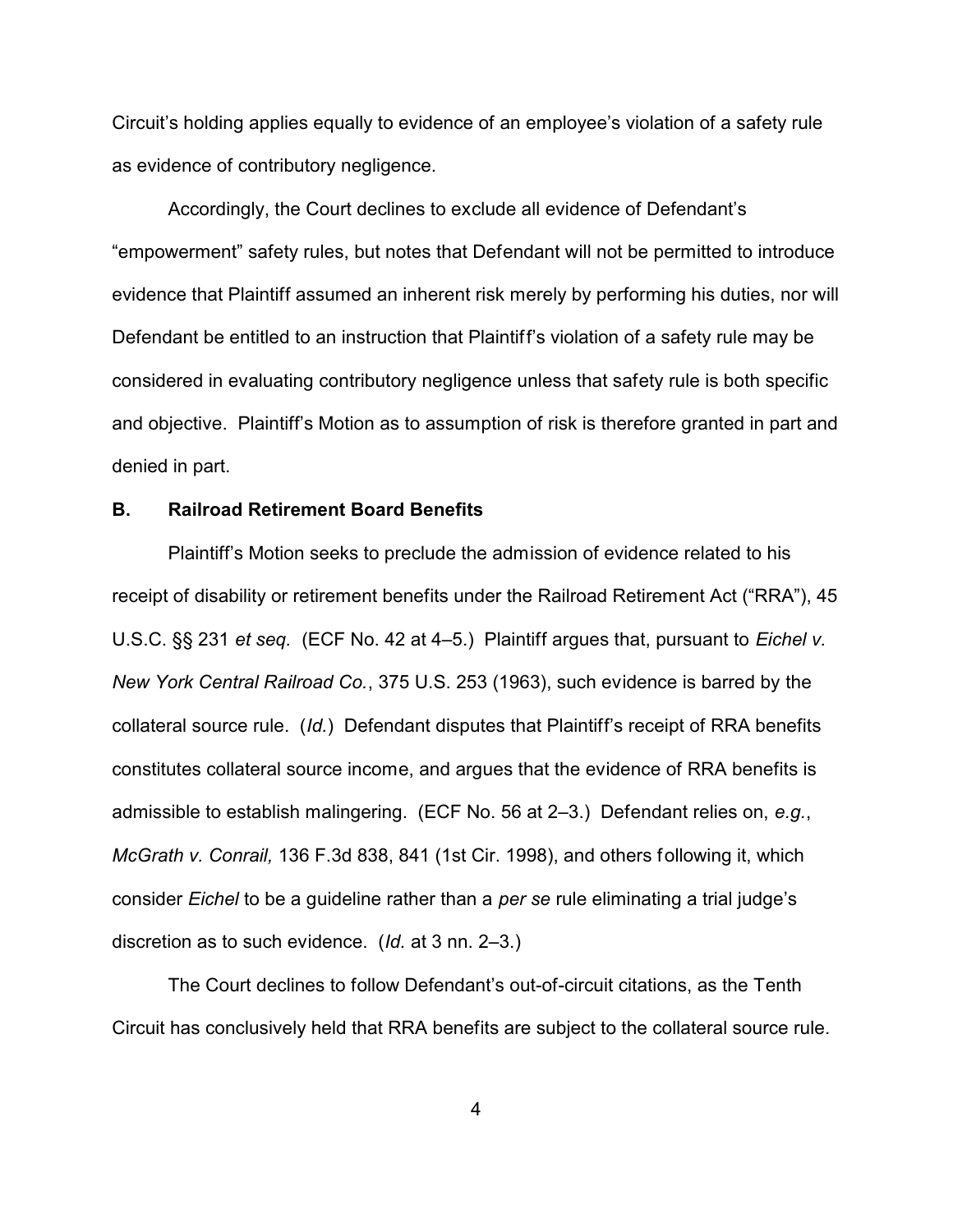Circuit's holding applies equally to evidence of an employee's violation of a safety rule as evidence of contributory negligence.

Accordingly, the Court declines to exclude all evidence of Defendant's "empowerment" safety rules, but notes that Defendant will not be permitted to introduce evidence that Plaintiff assumed an inherent risk merely by performing his duties, nor will Defendant be entitled to an instruction that Plaintiff's violation of a safety rule may be considered in evaluating contributory negligence unless that safety rule is both specific and objective. Plaintiff's Motion as to assumption of risk is therefore granted in part and denied in part.

#### **B. Railroad Retirement Board Benefits**

Plaintiff's Motion seeks to preclude the admission of evidence related to his receipt of disability or retirement benefits under the Railroad Retirement Act ("RRA"), 45 U.S.C. §§ 231 *et seq.* (ECF No. 42 at 4–5.) Plaintiff argues that, pursuant to *Eichel v. New York Central Railroad Co.*, 375 U.S. 253 (1963), such evidence is barred by the collateral source rule. (*Id.*) Defendant disputes that Plaintiff's receipt of RRA benefits constitutes collateral source income, and argues that the evidence of RRA benefits is admissible to establish malingering. (ECF No. 56 at 2–3.) Defendant relies on, *e.g.*, *McGrath v. Conrail,* 136 F.3d 838, 841 (1st Cir. 1998), and others following it, which consider *Eichel* to be a guideline rather than a *per se* rule eliminating a trial judge's discretion as to such evidence. (*Id.* at 3 nn. 2–3.)

The Court declines to follow Defendant's out-of-circuit citations, as the Tenth Circuit has conclusively held that RRA benefits are subject to the collateral source rule.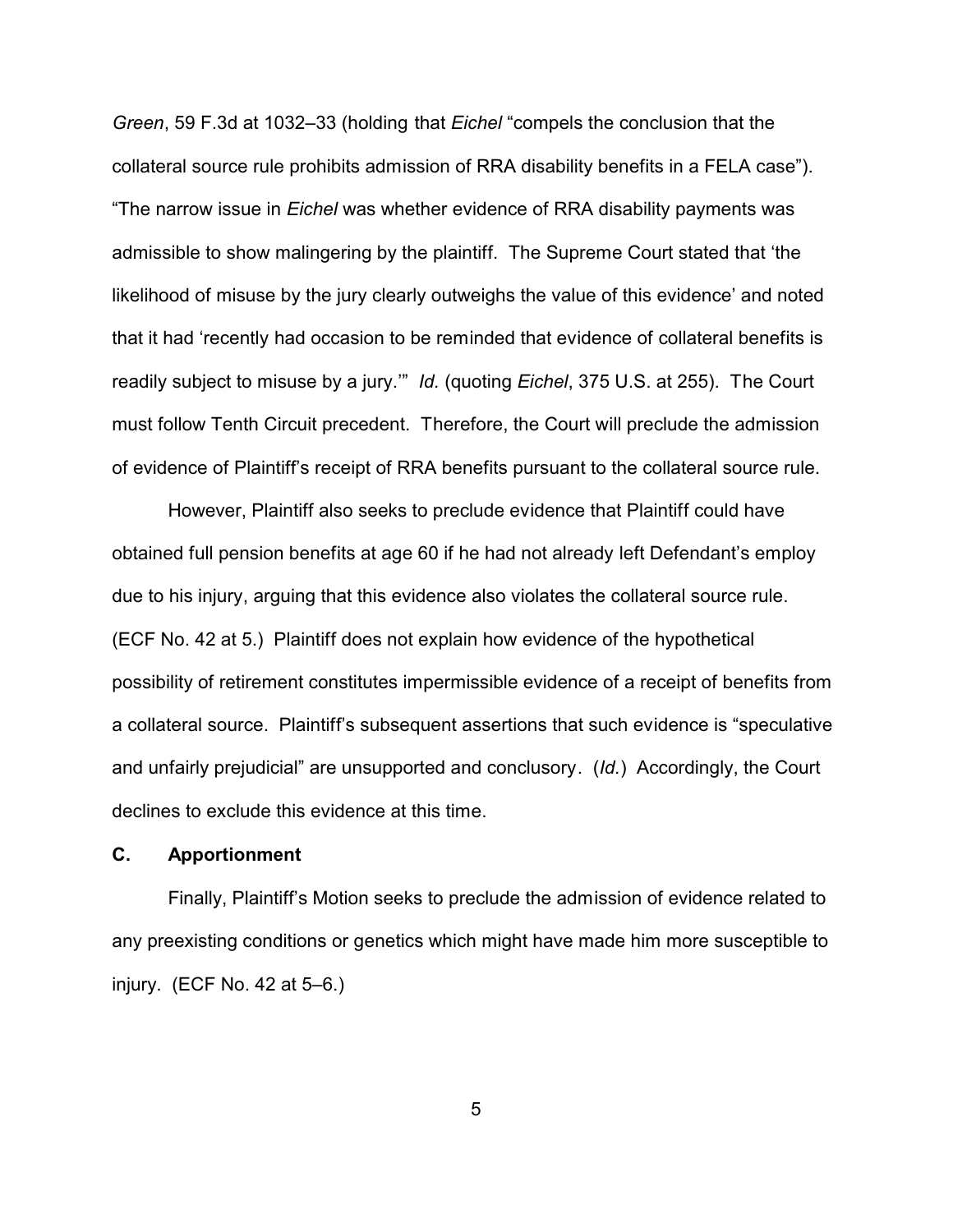*Green*, 59 F.3d at 1032–33 (holding that *Eichel* "compels the conclusion that the collateral source rule prohibits admission of RRA disability benefits in a FELA case"). "The narrow issue in *Eichel* was whether evidence of RRA disability payments was admissible to show malingering by the plaintiff. The Supreme Court stated that 'the likelihood of misuse by the jury clearly outweighs the value of this evidence' and noted that it had 'recently had occasion to be reminded that evidence of collateral benefits is readily subject to misuse by a jury.'" *Id.* (quoting *Eichel*, 375 U.S. at 255). The Court must follow Tenth Circuit precedent. Therefore, the Court will preclude the admission of evidence of Plaintiff's receipt of RRA benefits pursuant to the collateral source rule.

However, Plaintiff also seeks to preclude evidence that Plaintiff could have obtained full pension benefits at age 60 if he had not already left Defendant's employ due to his injury, arguing that this evidence also violates the collateral source rule. (ECF No. 42 at 5.) Plaintiff does not explain how evidence of the hypothetical possibility of retirement constitutes impermissible evidence of a receipt of benefits from a collateral source. Plaintiff's subsequent assertions that such evidence is "speculative and unfairly prejudicial" are unsupported and conclusory. (*Id.*) Accordingly, the Court declines to exclude this evidence at this time.

# **C. Apportionment**

Finally, Plaintiff's Motion seeks to preclude the admission of evidence related to any preexisting conditions or genetics which might have made him more susceptible to injury. (ECF No. 42 at 5–6.)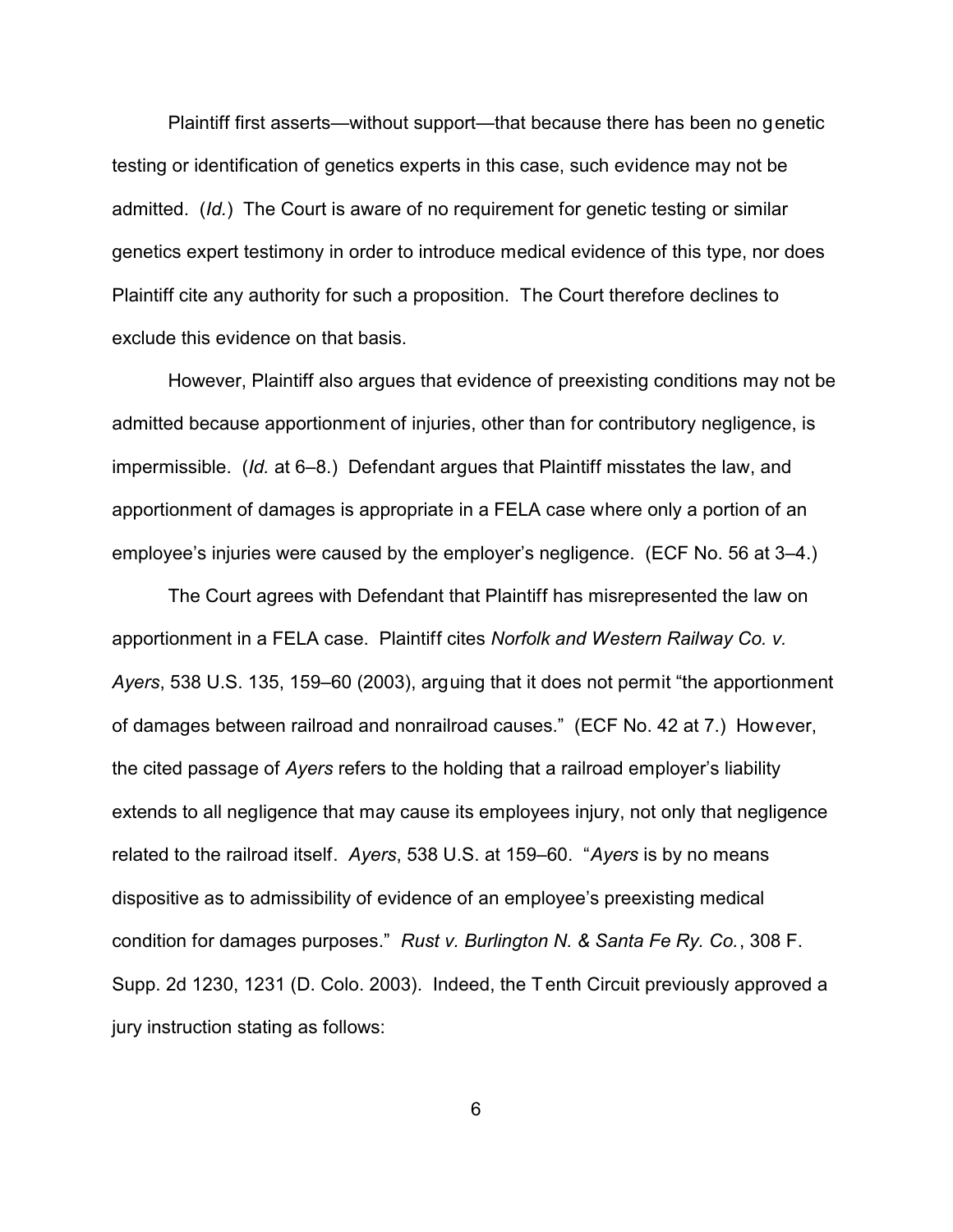Plaintiff first asserts—without support—that because there has been no genetic testing or identification of genetics experts in this case, such evidence may not be admitted. (*Id.*) The Court is aware of no requirement for genetic testing or similar genetics expert testimony in order to introduce medical evidence of this type, nor does Plaintiff cite any authority for such a proposition. The Court therefore declines to exclude this evidence on that basis.

However, Plaintiff also argues that evidence of preexisting conditions may not be admitted because apportionment of injuries, other than for contributory negligence, is impermissible. (*Id.* at 6–8.) Defendant argues that Plaintiff misstates the law, and apportionment of damages is appropriate in a FELA case where only a portion of an employee's injuries were caused by the employer's negligence. (ECF No. 56 at 3–4.)

The Court agrees with Defendant that Plaintiff has misrepresented the law on apportionment in a FELA case. Plaintiff cites *Norfolk and Western Railway Co. v. Ayers*, 538 U.S. 135, 159–60 (2003), arguing that it does not permit "the apportionment of damages between railroad and nonrailroad causes." (ECF No. 42 at 7.) However, the cited passage of *Ayers* refers to the holding that a railroad employer's liability extends to all negligence that may cause its employees injury, not only that negligence related to the railroad itself. *Ayers*, 538 U.S. at 159–60. "*Ayers* is by no means dispositive as to admissibility of evidence of an employee's preexisting medical condition for damages purposes." *Rust v. Burlington N. & Santa Fe Ry. Co.*, 308 F. Supp. 2d 1230, 1231 (D. Colo. 2003). Indeed, the Tenth Circuit previously approved a jury instruction stating as follows: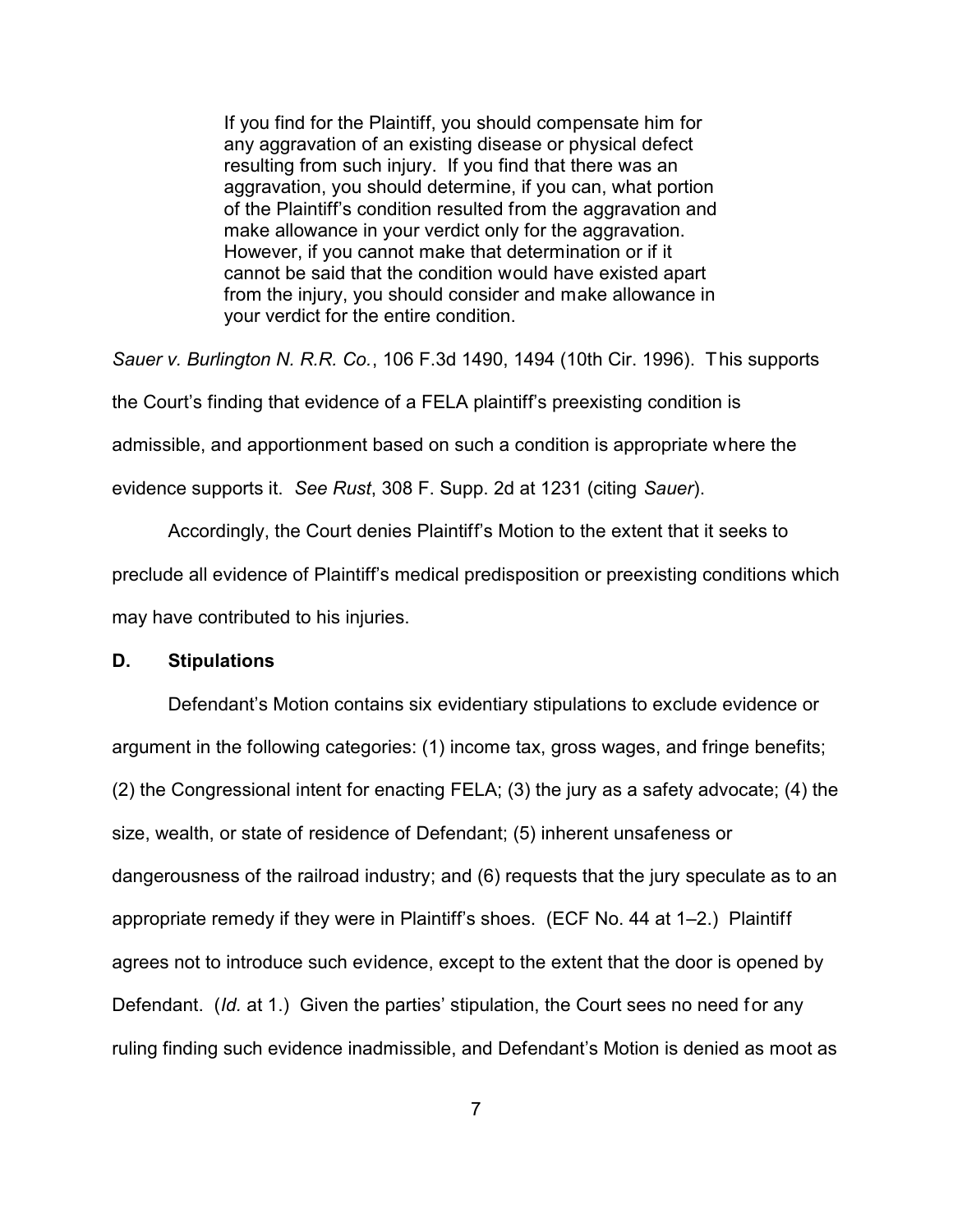If you find for the Plaintiff, you should compensate him for any aggravation of an existing disease or physical defect resulting from such injury. If you find that there was an aggravation, you should determine, if you can, what portion of the Plaintiff's condition resulted from the aggravation and make allowance in your verdict only for the aggravation. However, if you cannot make that determination or if it cannot be said that the condition would have existed apart from the injury, you should consider and make allowance in your verdict for the entire condition.

*Sauer v. Burlington N. R.R. Co.*, 106 F.3d 1490, 1494 (10th Cir. 1996). This supports the Court's finding that evidence of a FELA plaintiff's preexisting condition is admissible, and apportionment based on such a condition is appropriate where the evidence supports it. *See Rust*, 308 F. Supp. 2d at 1231 (citing *Sauer*).

Accordingly, the Court denies Plaintiff's Motion to the extent that it seeks to preclude all evidence of Plaintiff's medical predisposition or preexisting conditions which may have contributed to his injuries.

#### **D. Stipulations**

Defendant's Motion contains six evidentiary stipulations to exclude evidence or argument in the following categories: (1) income tax, gross wages, and fringe benefits; (2) the Congressional intent for enacting FELA; (3) the jury as a safety advocate; (4) the size, wealth, or state of residence of Defendant; (5) inherent unsafeness or dangerousness of the railroad industry; and (6) requests that the jury speculate as to an appropriate remedy if they were in Plaintiff's shoes. (ECF No. 44 at 1–2.) Plaintiff agrees not to introduce such evidence, except to the extent that the door is opened by Defendant. (*Id.* at 1.) Given the parties' stipulation, the Court sees no need for any ruling finding such evidence inadmissible, and Defendant's Motion is denied as moot as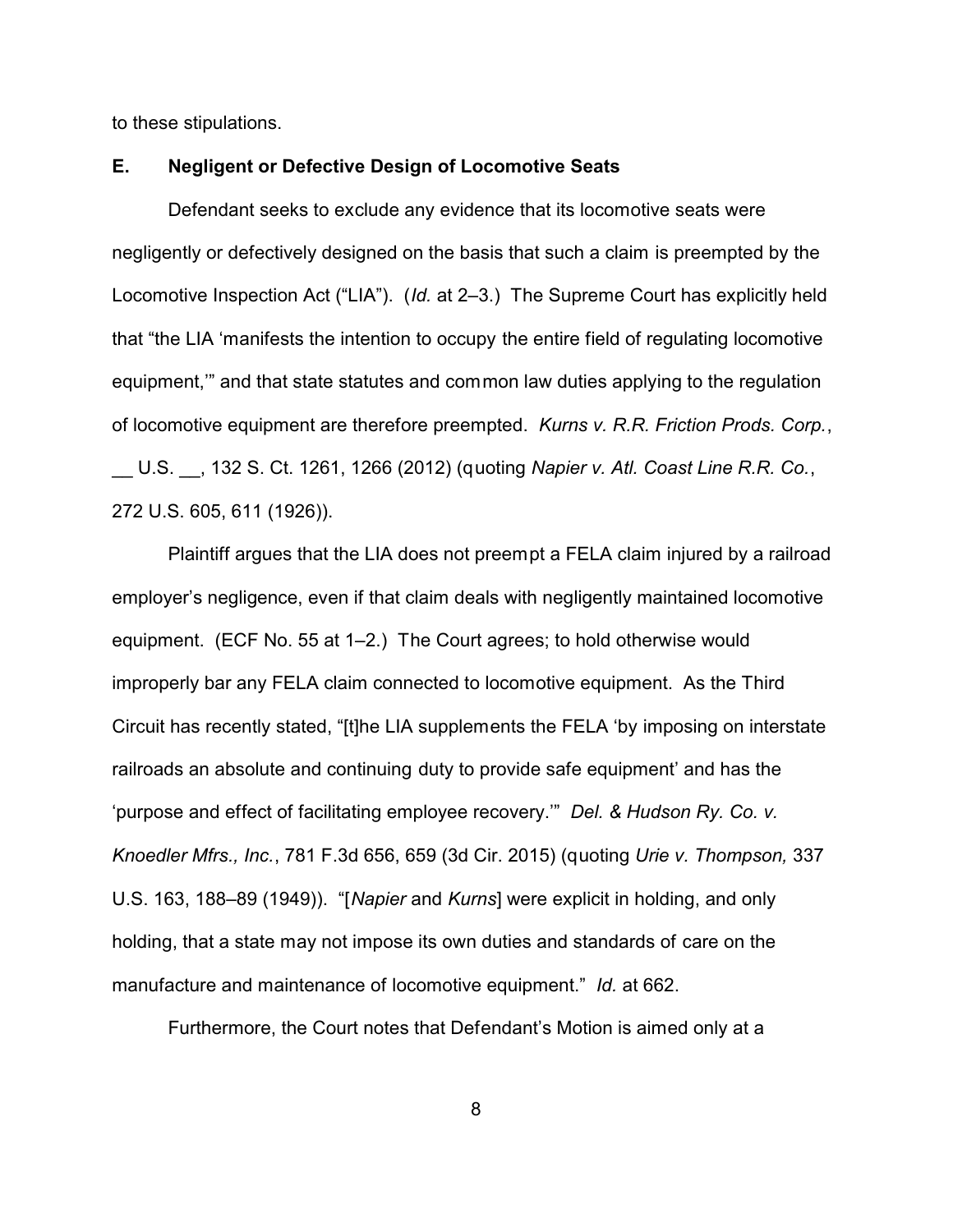to these stipulations.

# **E. Negligent or Defective Design of Locomotive Seats**

Defendant seeks to exclude any evidence that its locomotive seats were negligently or defectively designed on the basis that such a claim is preempted by the Locomotive Inspection Act ("LIA"). (*Id.* at 2–3.) The Supreme Court has explicitly held that "the LIA 'manifests the intention to occupy the entire field of regulating locomotive equipment,'" and that state statutes and common law duties applying to the regulation of locomotive equipment are therefore preempted. *Kurns v. R.R. Friction Prods. Corp.*, \_\_ U.S. \_\_, 132 S. Ct. 1261, 1266 (2012) (quoting *Napier v. Atl. Coast Line R.R. Co.*, 272 U.S. 605, 611 (1926)).

Plaintiff argues that the LIA does not preempt a FELA claim injured by a railroad employer's negligence, even if that claim deals with negligently maintained locomotive equipment. (ECF No. 55 at 1–2.) The Court agrees; to hold otherwise would improperly bar any FELA claim connected to locomotive equipment. As the Third Circuit has recently stated, "[t]he LIA supplements the FELA 'by imposing on interstate railroads an absolute and continuing duty to provide safe equipment' and has the 'purpose and effect of facilitating employee recovery.'" *Del. & Hudson Ry. Co. v. Knoedler Mfrs., Inc.*, 781 F.3d 656, 659 (3d Cir. 2015) (quoting *Urie v. Thompson,* 337 U.S. 163, 188–89 (1949)). "[*Napier* and *Kurns*] were explicit in holding, and only holding, that a state may not impose its own duties and standards of care on the manufacture and maintenance of locomotive equipment." *Id.* at 662.

Furthermore, the Court notes that Defendant's Motion is aimed only at a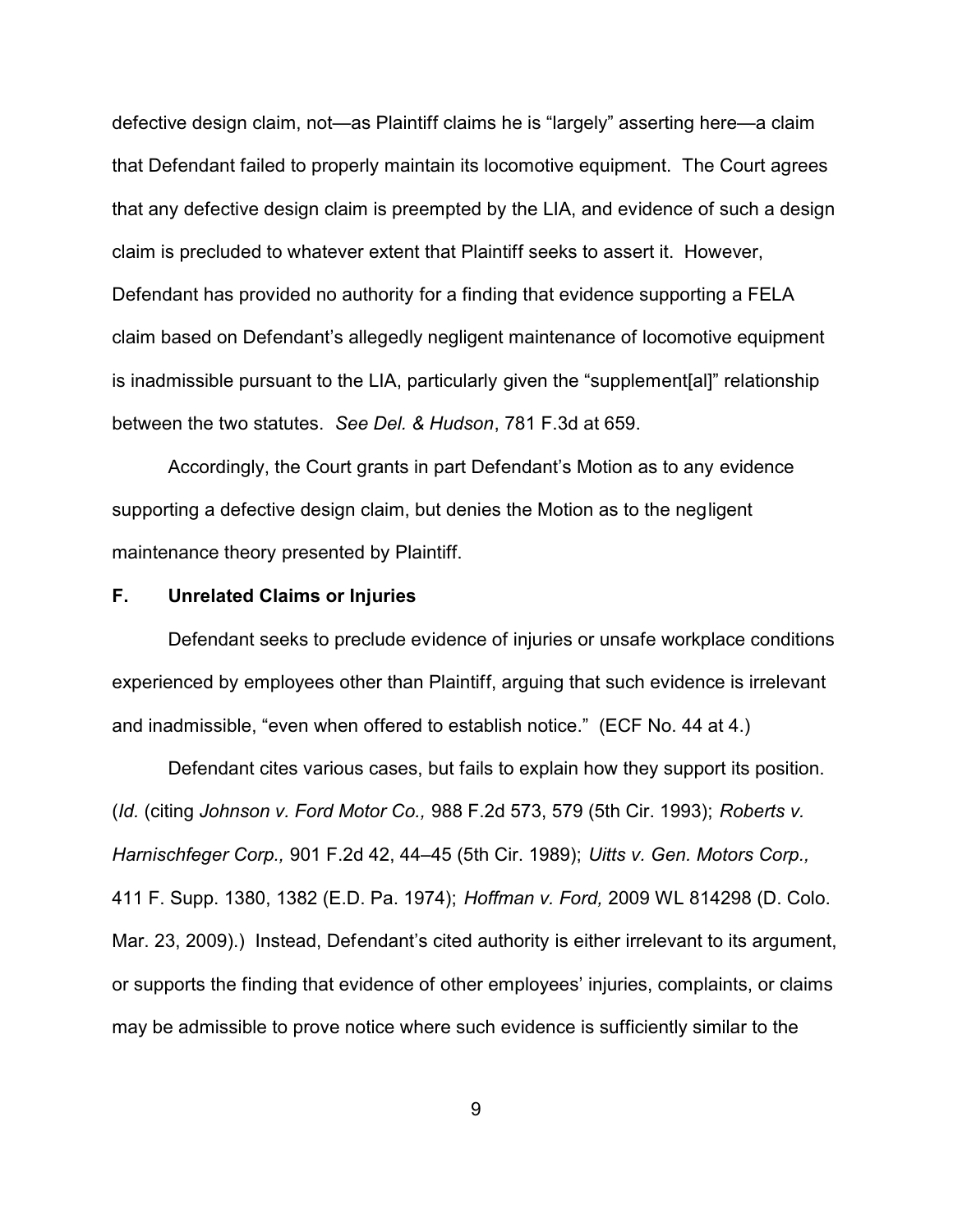defective design claim, not—as Plaintiff claims he is "largely" asserting here—a claim that Defendant failed to properly maintain its locomotive equipment. The Court agrees that any defective design claim is preempted by the LIA, and evidence of such a design claim is precluded to whatever extent that Plaintiff seeks to assert it. However, Defendant has provided no authority for a finding that evidence supporting a FELA claim based on Defendant's allegedly negligent maintenance of locomotive equipment is inadmissible pursuant to the LIA, particularly given the "supplement[al]" relationship between the two statutes. *See Del. & Hudson*, 781 F.3d at 659.

Accordingly, the Court grants in part Defendant's Motion as to any evidence supporting a defective design claim, but denies the Motion as to the negligent maintenance theory presented by Plaintiff.

#### **F. Unrelated Claims or Injuries**

Defendant seeks to preclude evidence of injuries or unsafe workplace conditions experienced by employees other than Plaintiff, arguing that such evidence is irrelevant and inadmissible, "even when offered to establish notice." (ECF No. 44 at 4.)

Defendant cites various cases, but fails to explain how they support its position. (*Id.* (citing *Johnson v. Ford Motor Co.,* 988 F.2d 573, 579 (5th Cir. 1993); *Roberts v. Harnischfeger Corp.,* 901 F.2d 42, 44–45 (5th Cir. 1989); *Uitts v. Gen. Motors Corp.,* 411 F. Supp. 1380, 1382 (E.D. Pa. 1974); *Hoffman v. Ford,* 2009 WL 814298 (D. Colo. Mar. 23, 2009).) Instead, Defendant's cited authority is either irrelevant to its argument, or supports the finding that evidence of other employees' injuries, complaints, or claims may be admissible to prove notice where such evidence is sufficiently similar to the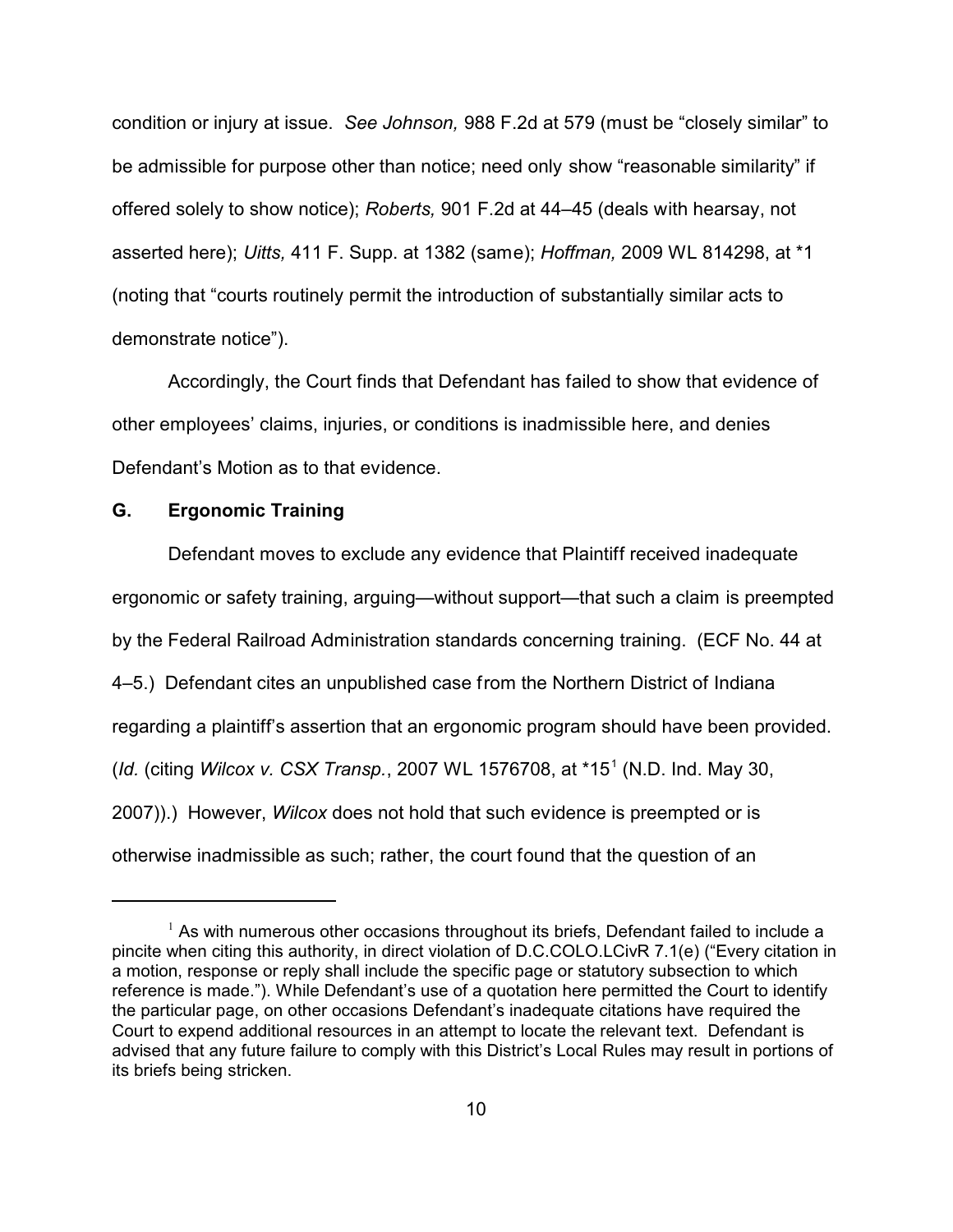condition or injury at issue. *See Johnson,* 988 F.2d at 579 (must be "closely similar" to be admissible for purpose other than notice; need only show "reasonable similarity" if offered solely to show notice); *Roberts,* 901 F.2d at 44–45 (deals with hearsay, not asserted here); *Uitts,* 411 F. Supp. at 1382 (same); *Hoffman,* 2009 WL 814298, at \*1 (noting that "courts routinely permit the introduction of substantially similar acts to demonstrate notice").

Accordingly, the Court finds that Defendant has failed to show that evidence of other employees' claims, injuries, or conditions is inadmissible here, and denies Defendant's Motion as to that evidence.

# **G. Ergonomic Training**

Defendant moves to exclude any evidence that Plaintiff received inadequate ergonomic or safety training, arguing—without support—that such a claim is preempted by the Federal Railroad Administration standards concerning training. (ECF No. 44 at 4–5.) Defendant cites an unpublished case from the Northern District of Indiana regarding a plaintiff's assertion that an ergonomic program should have been provided. (*Id.* (citing *Wilcox v. CSX Transp.*, 2007 WL 1576708, at \*15<sup>1</sup> (N.D. Ind. May 30, 2007)).) However, *Wilcox* does not hold that such evidence is preempted or is otherwise inadmissible as such; rather, the court found that the question of an

 $1$  As with numerous other occasions throughout its briefs, Defendant failed to include a pincite when citing this authority, in direct violation of D.C.COLO.LCivR 7.1(e) ("Every citation in a motion, response or reply shall include the specific page or statutory subsection to which reference is made."). While Defendant's use of a quotation here permitted the Court to identify the particular page, on other occasions Defendant's inadequate citations have required the Court to expend additional resources in an attempt to locate the relevant text. Defendant is advised that any future failure to comply with this District's Local Rules may result in portions of its briefs being stricken.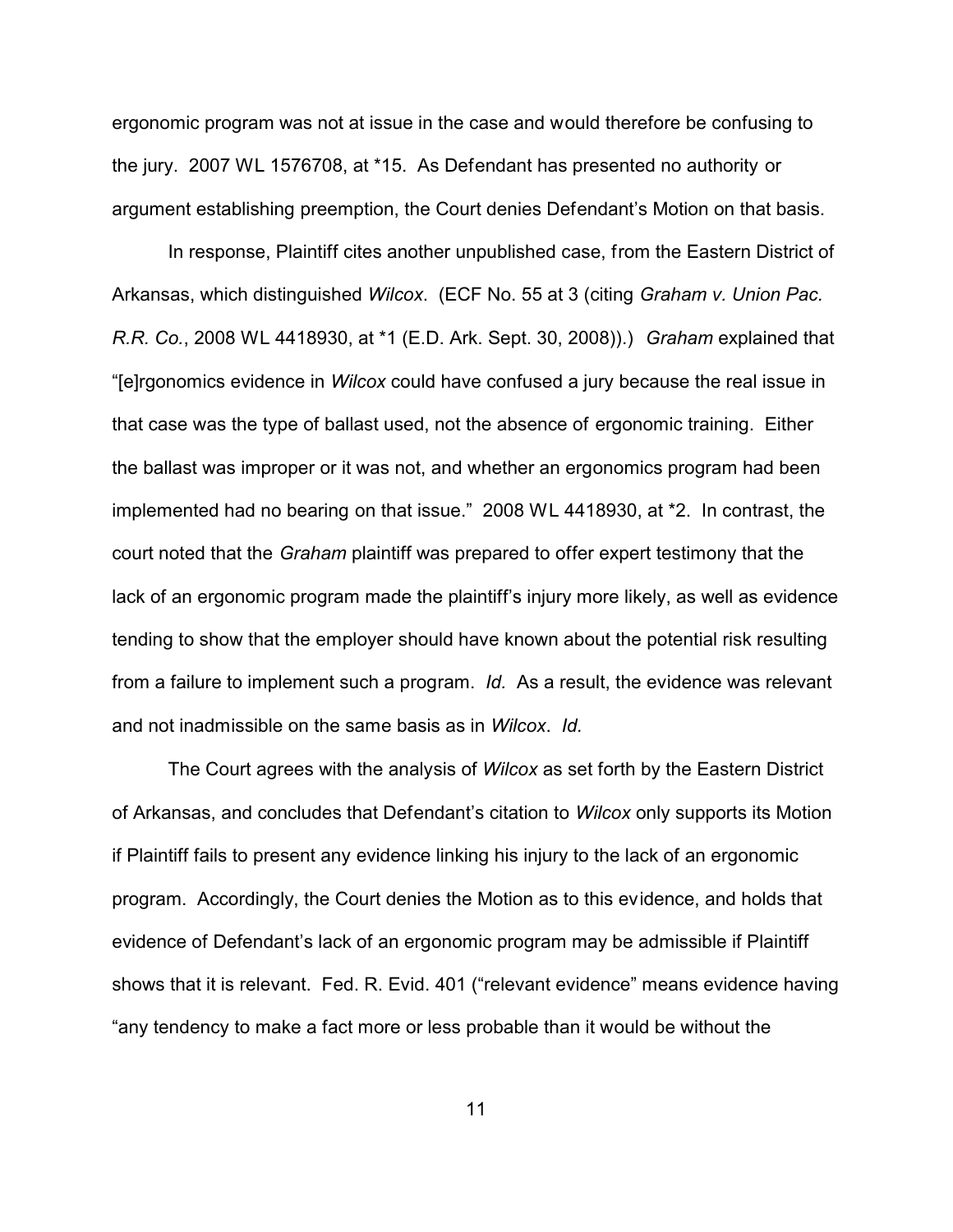ergonomic program was not at issue in the case and would therefore be confusing to the jury. 2007 WL 1576708, at \*15. As Defendant has presented no authority or argument establishing preemption, the Court denies Defendant's Motion on that basis.

In response, Plaintiff cites another unpublished case, from the Eastern District of Arkansas, which distinguished *Wilcox*. (ECF No. 55 at 3 (citing *Graham v. Union Pac. R.R. Co.*, 2008 WL 4418930, at \*1 (E.D. Ark. Sept. 30, 2008)).) *Graham* explained that "[e]rgonomics evidence in *Wilcox* could have confused a jury because the real issue in that case was the type of ballast used, not the absence of ergonomic training. Either the ballast was improper or it was not, and whether an ergonomics program had been implemented had no bearing on that issue." 2008 WL 4418930, at \*2. In contrast, the court noted that the *Graham* plaintiff was prepared to offer expert testimony that the lack of an ergonomic program made the plaintiff's injury more likely, as well as evidence tending to show that the employer should have known about the potential risk resulting from a failure to implement such a program. *Id.* As a result, the evidence was relevant and not inadmissible on the same basis as in *Wilcox*. *Id.*

The Court agrees with the analysis of *Wilcox* as set forth by the Eastern District of Arkansas, and concludes that Defendant's citation to *Wilcox* only supports its Motion if Plaintiff fails to present any evidence linking his injury to the lack of an ergonomic program. Accordingly, the Court denies the Motion as to this evidence, and holds that evidence of Defendant's lack of an ergonomic program may be admissible if Plaintiff shows that it is relevant. Fed. R. Evid. 401 ("relevant evidence" means evidence having "any tendency to make a fact more or less probable than it would be without the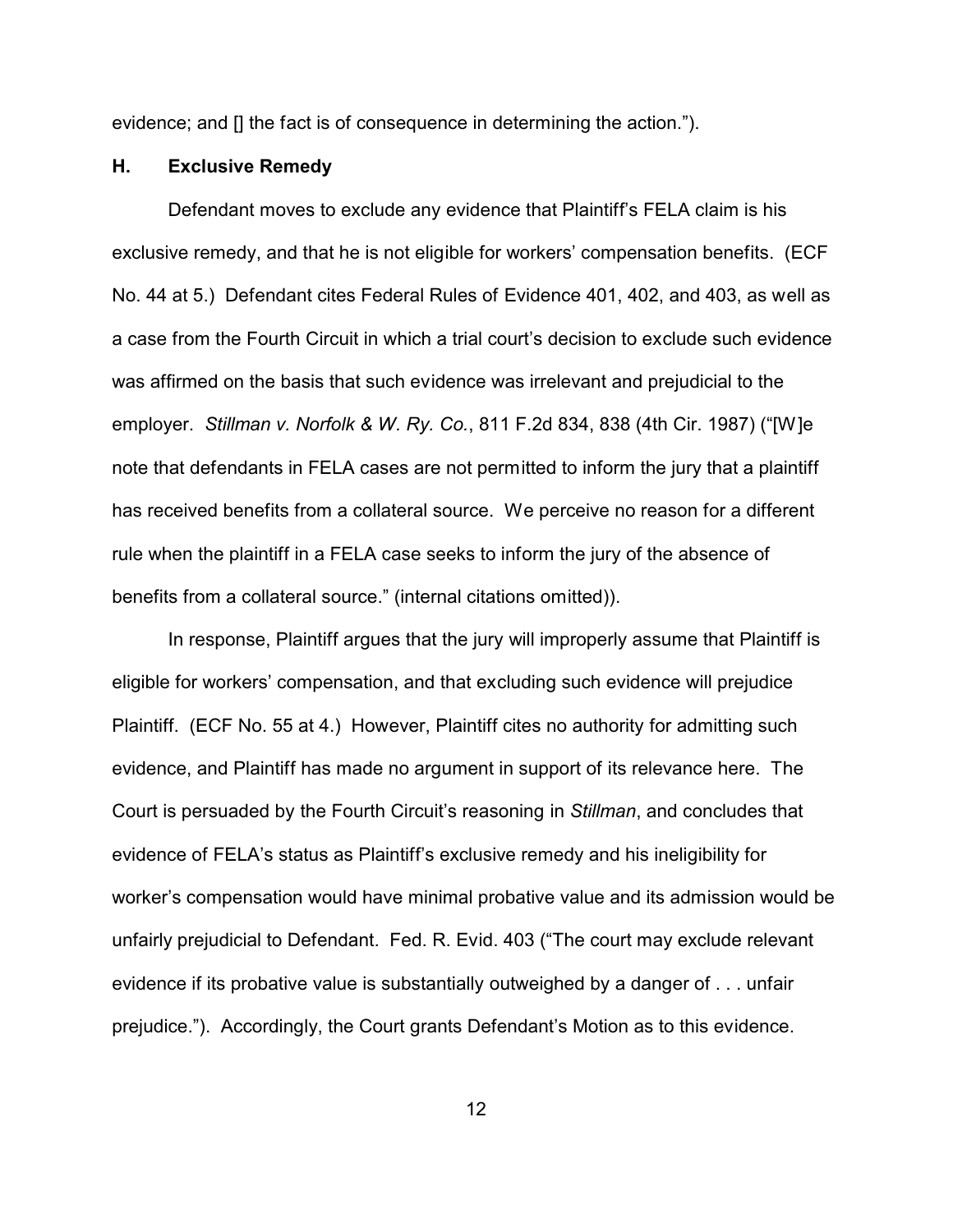evidence; and [] the fact is of consequence in determining the action.").

# **H. Exclusive Remedy**

Defendant moves to exclude any evidence that Plaintiff's FELA claim is his exclusive remedy, and that he is not eligible for workers' compensation benefits. (ECF No. 44 at 5.) Defendant cites Federal Rules of Evidence 401, 402, and 403, as well as a case from the Fourth Circuit in which a trial court's decision to exclude such evidence was affirmed on the basis that such evidence was irrelevant and prejudicial to the employer. *Stillman v. Norfolk & W. Ry. Co.*, 811 F.2d 834, 838 (4th Cir. 1987) ("[W]e note that defendants in FELA cases are not permitted to inform the jury that a plaintiff has received benefits from a collateral source. We perceive no reason for a different rule when the plaintiff in a FELA case seeks to inform the jury of the absence of benefits from a collateral source." (internal citations omitted)).

In response, Plaintiff argues that the jury will improperly assume that Plaintiff is eligible for workers' compensation, and that excluding such evidence will prejudice Plaintiff. (ECF No. 55 at 4.) However, Plaintiff cites no authority for admitting such evidence, and Plaintiff has made no argument in support of its relevance here. The Court is persuaded by the Fourth Circuit's reasoning in *Stillman*, and concludes that evidence of FELA's status as Plaintiff's exclusive remedy and his ineligibility for worker's compensation would have minimal probative value and its admission would be unfairly prejudicial to Defendant. Fed. R. Evid. 403 ("The court may exclude relevant evidence if its probative value is substantially outweighed by a danger of . . . unfair prejudice."). Accordingly, the Court grants Defendant's Motion as to this evidence.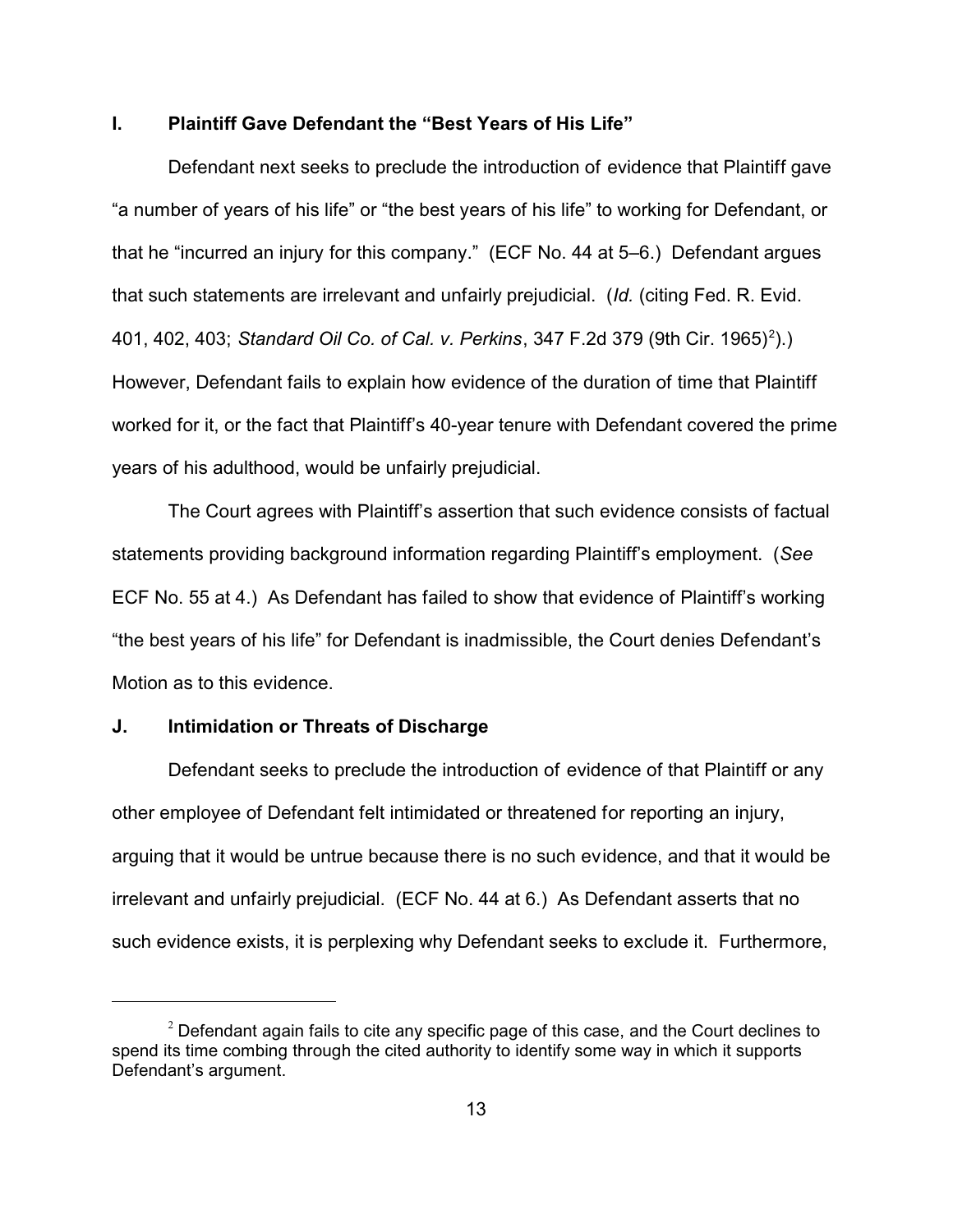# **I. Plaintiff Gave Defendant the "Best Years of His Life"**

Defendant next seeks to preclude the introduction of evidence that Plaintiff gave "a number of years of his life" or "the best years of his life" to working for Defendant, or that he "incurred an injury for this company." (ECF No. 44 at 5–6.) Defendant argues that such statements are irrelevant and unfairly prejudicial. (*Id.* (citing Fed. R. Evid. 401, 402, 403; *Standard Oil Co. of Cal. v. Perkins*, 347 F.2d 379 (9th Cir. 1965)<sup>2</sup>).) However, Defendant fails to explain how evidence of the duration of time that Plaintiff worked for it, or the fact that Plaintiff's 40-year tenure with Defendant covered the prime years of his adulthood, would be unfairly prejudicial.

The Court agrees with Plaintiff's assertion that such evidence consists of factual statements providing background information regarding Plaintiff's employment. (*See* ECF No. 55 at 4.) As Defendant has failed to show that evidence of Plaintiff's working "the best years of his life" for Defendant is inadmissible, the Court denies Defendant's Motion as to this evidence.

### **J. Intimidation or Threats of Discharge**

Defendant seeks to preclude the introduction of evidence of that Plaintiff or any other employee of Defendant felt intimidated or threatened for reporting an injury, arguing that it would be untrue because there is no such evidence, and that it would be irrelevant and unfairly prejudicial. (ECF No. 44 at 6.) As Defendant asserts that no such evidence exists, it is perplexing why Defendant seeks to exclude it. Furthermore,

 $2$  Defendant again fails to cite any specific page of this case, and the Court declines to spend its time combing through the cited authority to identify some way in which it supports Defendant's argument.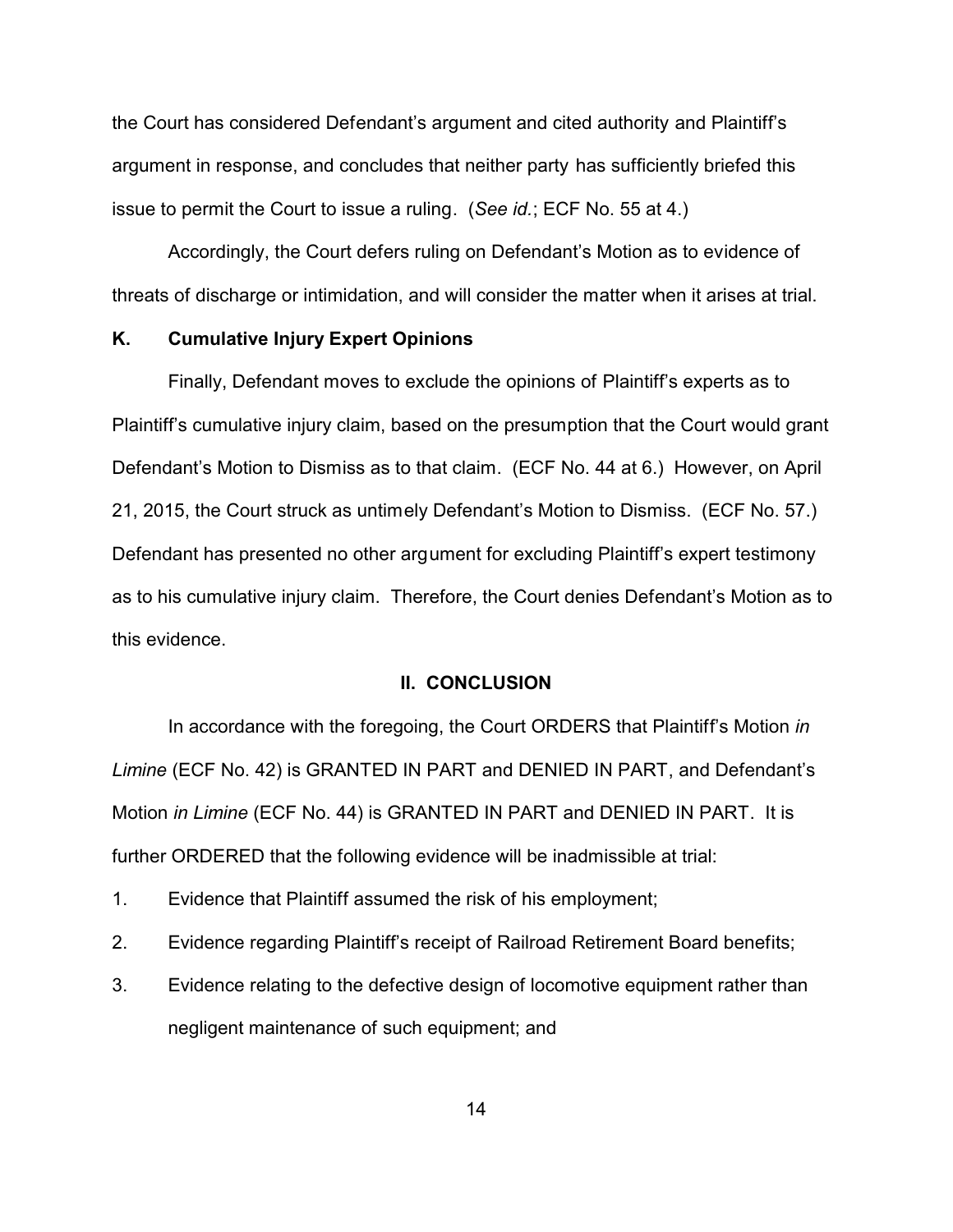the Court has considered Defendant's argument and cited authority and Plaintiff's argument in response, and concludes that neither party has sufficiently briefed this issue to permit the Court to issue a ruling. (*See id.*; ECF No. 55 at 4.)

Accordingly, the Court defers ruling on Defendant's Motion as to evidence of threats of discharge or intimidation, and will consider the matter when it arises at trial.

# **K. Cumulative Injury Expert Opinions**

Finally, Defendant moves to exclude the opinions of Plaintiff's experts as to Plaintiff's cumulative injury claim, based on the presumption that the Court would grant Defendant's Motion to Dismiss as to that claim. (ECF No. 44 at 6.) However, on April 21, 2015, the Court struck as untimely Defendant's Motion to Dismiss. (ECF No. 57.) Defendant has presented no other argument for excluding Plaintiff's expert testimony as to his cumulative injury claim. Therefore, the Court denies Defendant's Motion as to this evidence.

#### **II. CONCLUSION**

In accordance with the foregoing, the Court ORDERS that Plaintiff's Motion *in Limine* (ECF No. 42) is GRANTED IN PART and DENIED IN PART, and Defendant's Motion *in Limine* (ECF No. 44) is GRANTED IN PART and DENIED IN PART. It is further ORDERED that the following evidence will be inadmissible at trial:

- 1. Evidence that Plaintiff assumed the risk of his employment;
- 2. Evidence regarding Plaintiff's receipt of Railroad Retirement Board benefits;
- 3. Evidence relating to the defective design of locomotive equipment rather than negligent maintenance of such equipment; and